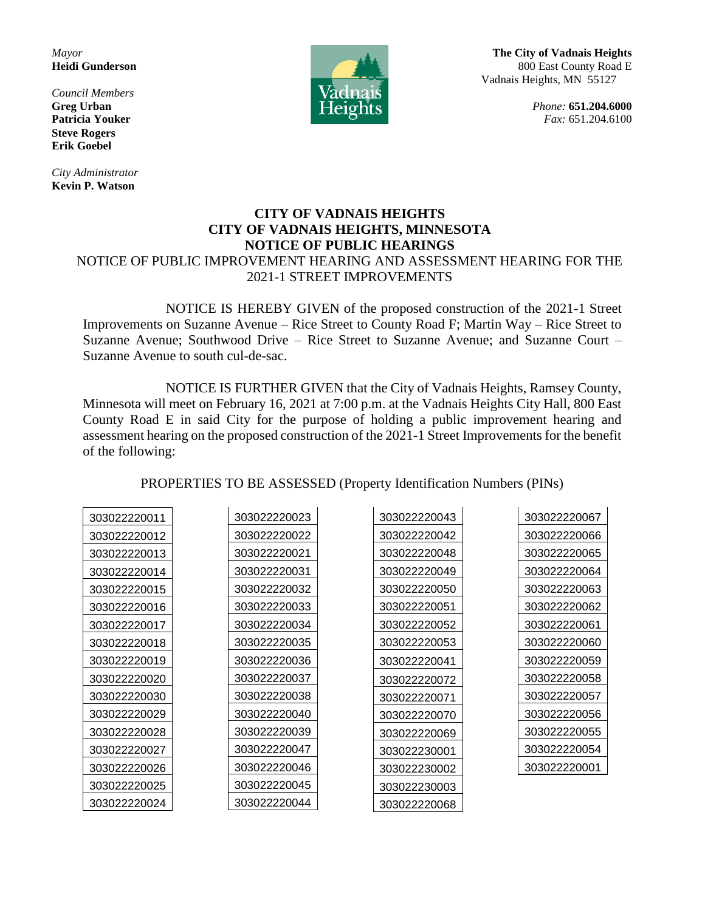*Council Members* **Steve Rogers Erik Goebel**

*City Administrator* **Kevin P. Watson**



*Mayor* **The City of Vadnais Heights Heidi Gunderson** 800 East County Road E Vadnais Heights, MN 55127

**Greg Urban** *Phone:* **651.204.6000 Patricia Youker** *Patricia Youker**Fax:* **651.204.6100** 

## **CITY OF VADNAIS HEIGHTS CITY OF VADNAIS HEIGHTS, MINNESOTA NOTICE OF PUBLIC HEARINGS** NOTICE OF PUBLIC IMPROVEMENT HEARING AND ASSESSMENT HEARING FOR THE 2021-1 STREET IMPROVEMENTS

NOTICE IS HEREBY GIVEN of the proposed construction of the 2021-1 Street Improvements on Suzanne Avenue – Rice Street to County Road F; Martin Way – Rice Street to Suzanne Avenue; Southwood Drive – Rice Street to Suzanne Avenue; and Suzanne Court – Suzanne Avenue to south cul-de-sac.

NOTICE IS FURTHER GIVEN that the City of Vadnais Heights, Ramsey County, Minnesota will meet on February 16, 2021 at 7:00 p.m. at the Vadnais Heights City Hall, 800 East County Road E in said City for the purpose of holding a public improvement hearing and assessment hearing on the proposed construction of the 2021-1 Street Improvements for the benefit of the following:

PROPERTIES TO BE ASSESSED (Property Identification Numbers (PINs)

| 303022220011 | 303022220023 | 303022220043 | 303022220067 |
|--------------|--------------|--------------|--------------|
|              |              |              |              |
| 303022220012 | 303022220022 | 303022220042 | 303022220066 |
| 303022220013 | 303022220021 | 303022220048 | 303022220065 |
| 303022220014 | 303022220031 | 303022220049 | 303022220064 |
| 303022220015 | 303022220032 | 303022220050 | 303022220063 |
| 303022220016 | 303022220033 | 303022220051 | 303022220062 |
| 303022220017 | 303022220034 | 303022220052 | 303022220061 |
| 303022220018 | 303022220035 | 303022220053 | 303022220060 |
| 303022220019 | 303022220036 | 303022220041 | 303022220059 |
| 303022220020 | 303022220037 | 303022220072 | 303022220058 |
| 303022220030 | 303022220038 | 303022220071 | 303022220057 |
| 303022220029 | 303022220040 | 303022220070 | 303022220056 |
| 303022220028 | 303022220039 | 303022220069 | 303022220055 |
| 303022220027 | 303022220047 | 303022230001 | 303022220054 |
| 303022220026 | 303022220046 | 303022230002 | 303022220001 |
| 303022220025 | 303022220045 | 303022230003 |              |
| 303022220024 | 303022220044 | 303022220068 |              |